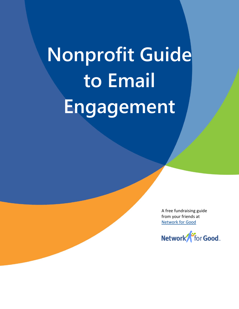# **Nonprofit Guide to Email Engagement**

A free fundraising guide from your friends at [Network for Good](http://www1.networkforgood.org/partner)

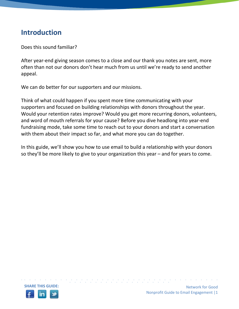## **Introduction**

Does this sound familiar?

After year-end giving season comes to a close and our thank you notes are sent, more often than not our donors don't hear much from us until we're ready to send another appeal.

We can do better for our supporters and our missions.

Think of what could happen if you spent more time communicating with your supporters and focused on building relationships with donors throughout the year. Would your retention rates improve? Would you get more recurring donors, volunteers, and word of mouth referrals for your cause? Before you dive headlong into year-end fundraising mode, take some time to reach out to your donors and start a conversation with them about their impact so far, and what more you can do together.

In this guide, we'll show you how to use email to build a relationship with your donors so they'll be more likely to give to your organization this year – and for years to come.

• • • • • • • • • • • • • • • • • • • • • • • • • • • • • • • • • • • • • • • • • • • • • • • • • • • • • • • • • • •

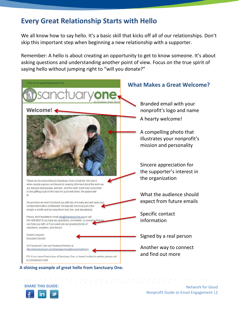## **Every Great Relationship Starts with Hello**

We all know how to say hello. It's a basic skill that kicks off all of our relationships. Don't skip this important step when beginning a new relationship with a supporter.

Remember: A hello is about creating an opportunity to get to know someone. It's about asking questions and understanding another point of view. Focus on the true spirit of saying hello without jumping right to "will you donate?"



#### **A shining example of great hello from Sanctuary One.**

**SHARE THIS GUIDE:**

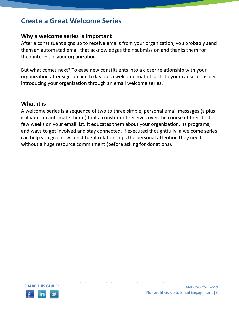## **Create a Great Welcome Series**

## **Why a welcome series is important**

After a constituent signs up to receive emails from your organization, you probably send them an automated email that acknowledges their submission and thanks them for their interest in your organization.

But what comes next? To ease new constituents into a closer relationship with your organization after sign-up and to lay out a welcome mat of sorts to your cause, consider introducing your organization through an email welcome series.

### **What it is**

A welcome series is a sequence of two to three simple, personal email messages (a plus is if you can automate them!) that a constituent receives over the course of their first few weeks on your email list. It educates them about your organization, its programs, and ways to get involved and stay connected. If executed thoughtfully, a welcome series can help you give new constituent relationships the personal attention they need without a huge resource commitment (before asking for donations).

• • • • • • • • • • • • • • • • • • • • • • • • • • • • • • • • • • • • • • • • • • • • • • • • • • • • • • • • • • •

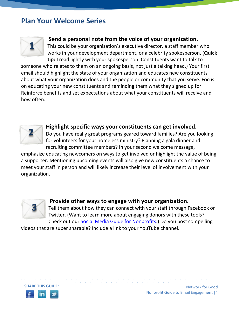## **Plan Your Welcome Series**



## **Send a personal note from the voice of your organization.**

This could be your organization's executive director, a staff member who works in your development department, or a celebrity spokesperson. (**Quick tip:** Tread lightly with your spokesperson. Constituents want to talk to

someone who relates to them on an ongoing basis, not just a talking head.) Your first email should highlight the state of your organization and educates new constituents about what your organization does and the people or community that you serve. Focus on educating your new constituents and reminding them what they signed up for. Reinforce benefits and set expectations about what your constituents will receive and how often.



### **Highlight specific ways your constituents can get involved.**

Do you have really great programs geared toward families? Are you looking for volunteers for your homeless ministry? Planning a gala dinner and recruiting committee members? In your second welcome message,

emphasize educating newcomers on ways to get involved or highlight the value of being a supporter. Mentioning upcoming events will also give new constituents a chance to meet your staff in person and will likely increase their level of involvement with your organization.



### **Provide other ways to engage with your organization.**

• • • • • • • • • • • • • • • • • • • • • • • • • • • • • • • • • • • • • • • • • • • • • • • • • • • • • • • • • • •

Tell them about how they can connect with your staff through Facebook or Twitter. (Want to learn more about engaging donors with these tools? Check out our [Social Media Guide for Nonprofits.](http://learn.networkforgood.org/SocialMediaGuide_NFGTeamSocialOutreach.html)) Do you post compelling

videos that are super sharable? Include a link to your YouTube channel.



Network for Good Nonprofit Guide to Email Engagement |4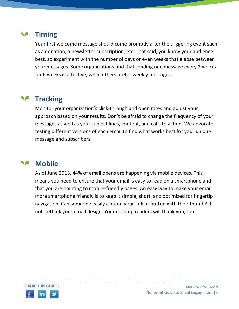#### **Timing** ◥◚

Your first welcome message should come promptly after the triggering event such as a donation, a newsletter subscription, etc. That said, you know your audience best, so experiment with the number of days or even weeks that elapse between your messages. Some organizations find that sending one message every 2 weeks for 6 weeks is effective, while others prefer weekly messages.

#### **Tracking SP**

Monitor your organization's click-through and open rates and adjust your approach based on your results. Don't be afraid to change the frequency of your messages as well as your subject lines, content, and calls to action. We advocate testing different versions of each email to find what works best for your unique message and subscribers.

#### ◥◚ **Mobile**

As of June 2013, 44% of email opens are happening via mobile devices. This means you need to ensure that your email is easy to read on a smartphone and that you are pointing to mobile-friendly pages. An easy way to make your email more smartphone friendly is to keep it simple, short, and optimized for fingertip navigation. Can someone easily click on your link or button with their thumb? If not, rethink your email design. Your desktop readers will thank you, too.

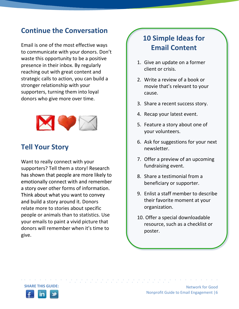## **Continue the Conversation**

Email is one of the most effective ways to communicate with your donors. Don't waste this opportunity to be a positive presence in their inbox. By regularly reaching out with great content and strategic calls to action, you can build a stronger relationship with your supporters, turning them into loyal donors who give more over time.



# **Tell Your Story**

Want to really connect with your supporters? Tell them a story! Research has shown that people are more likely to emotionally connect with and remember a story over other forms of information. Think about what you want to convey and build a story around it. Donors relate more to stories about specific people or animals than to statistics. Use your emails to paint a vivid picture that donors will remember when it's time to give.

# **10 Simple Ideas for Email Content**

- 1. Give an update on a former client or crisis.
- 2. Write a review of a book or movie that's relevant to your cause.
- 3. Share a recent success story.
- 4. Recap your latest event.
- 5. Feature a story about one of your volunteers.
- 6. Ask for suggestions for your next newsletter.
- 7. Offer a preview of an upcoming fundraising event.
- 8. Share a testimonial from a beneficiary or supporter.
- 9. Enlist a staff member to describe their favorite moment at your organization.
- 10. Offer a special downloadable resource, such as a checklist or poster.

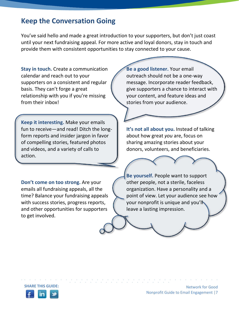## **Keep the Conversation Going**

You've said hello and made a great introduction to your supporters, but don't just coast until your next fundraising appeal. For more active and loyal donors, stay in touch and provide them with consistent opportunities to stay connected to your cause.

**Stay in touch.** Create a communication calendar and reach out to your supporters on a consistent and regular basis. They can't forge a great relationship with you if you're missing from their inbox!

**Keep it interesting.** Make your emails fun to receive—and read! Ditch the longform reports and insider jargon in favor of compelling stories, featured photos and videos, and a variety of calls to action.

**Don't come on too strong.** Are your emails all fundraising appeals, all the time? Balance your fundraising appeals with success stories, progress reports, and other opportunities for supporters to get involved.

**Be a good listener.** Your email outreach should not be a one-way message. Incorporate reader feedback, give supporters a chance to interact with your content, and feature ideas and stories from your audience.

**It's not all about you.** Instead of talking about how great *you* are, focus on sharing amazing stories about your donors, volunteers, and beneficiaries.

**Be yourself.** People want to support other people, not a sterile, faceless organization. Have a personality and a point of view. Let your audience see how your nonprofit is unique and you'll leave a lasting impression.

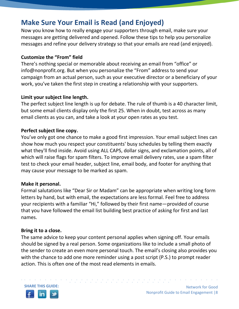# **Make Sure Your Email is Read (and Enjoyed)**

Now you know how to really engage your supporters through email, make sure your messages are getting delivered and opened. Follow these tips to help you personalize messages and refine your delivery strategy so that your emails are read (and enjoyed).

## **Customize the "From" field**

There's nothing special or memorable about receiving an email from "office" or info@nonprofit.org. But when you personalize the "From" address to send your campaign from an actual person, such as your executive director or a beneficiary of your work, you've taken the first step in creating a relationship with your supporters.

#### **Limit your subject line length.**

The perfect subject line length is up for debate. The rule of thumb is a 40 character limit, but some email clients display only the first 25. When in doubt, test across as many email clients as you can, and take a look at your open rates as you test.

### **Perfect subject line copy.**

You've only got one chance to make a good first impression. Your email subject lines can show how much you respect your constituents' busy schedules by telling them exactly what they'll find inside. Avoid using ALL CAPS, dollar signs, and exclamation points, all of which will raise flags for spam filters. To improve email delivery rates, use a spam filter test to check your email header, subject line, email body, and footer for anything that may cause your message to be marked as spam.

### **Make it personal.**

Formal salutations like "Dear Sir or Madam" can be appropriate when writing long form letters by hand, but with email, the expectations are less formal. Feel free to address your recipients with a familiar "Hi," followed by their first name—provided of course that you have followed the email list building best practice of asking for first and last names.

### **Bring it to a close.**

The same advice to keep your content personal applies when signing off. Your emails should be signed by a real person. Some organizations like to include a small photo of the sender to create an even more personal touch. The email's closing also provides you with the chance to add one more reminder using a post script (P.S.) to prompt reader action. This is often one of the most read elements in emails.

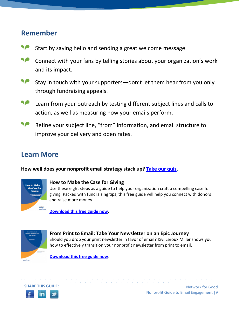## **Remember**

- Start by saying hello and sending a great welcome message.
- Connect with your fans by telling stories about your organization's work and its impact.
- ◥◚ Stay in touch with your supporters—don't let them hear from you only through fundraising appeals.
- ◥◚ Learn from your outreach by testing different subject lines and calls to action, as well as measuring how your emails perform.
- Refine your subject line, "from" information, and email structure to ◥◚ improve your delivery and open rates.

# **Learn More**

**How well does your nonprofit email strategy stack up? [Take our quiz.](http://www.thenetworkforgood.org/t5/Quiz-How-Well-Are-You-Using/bd-p/FFEmailQuiz)**



#### **[How to Make the Case for Giving](http://learn.networkforgood.org/CaseforGivingGuide_Tips_6.20.13_Content.html)**

Use these eight steps as a guide to help your organization craft a compelling case for giving. Packed with fundraising tips, this free guide will help you connect with donors and raise more money.

**[Download this free guide now.](http://learn.networkforgood.org/CaseforGivingGuide_Tips_6.20.13_Content.html)**



#### **[From Print to Email: Take Your Newsletter on an Epic Journey](http://learn.networkforgood.org/Resources_911Archive_Fromprinttoemail_resources_ebook.html)**

Should you drop your print newsletter in favor of email? Kivi Leroux Miller shows you how to effectively transition your nonprofit newsletter from print to email.

**[Download this free guide now](http://learn.networkforgood.org/Resources_911Archive_Fromprinttoemail_resources_ebook.html)**.